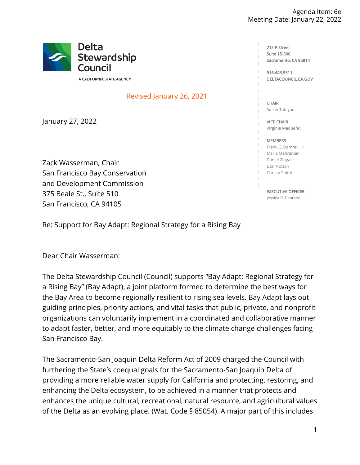

A CALIFORNIA STATE AGENCY

## Revised January 26, 2021

January 27, 2022

Zack Wasserman, Chair San Francisco Bay Conservation and Development Commission 375 Beale St., Suite 510 San Francisco, CA 94105

Re: Support for Bay Adapt: Regional Strategy for a Rising Bay

Dear Chair Wasserman:

The Delta Stewardship Council (Council) supports "Bay Adapt: Regional Strategy for a Rising Bay" (Bay Adapt), a joint platform formed to determine the best ways for the Bay Area to become regionally resilient to rising sea levels. Bay Adapt lays out guiding principles, priority actions, and vital tasks that public, private, and nonprofit organizations can voluntarily implement in a coordinated and collaborative manner to adapt faster, better, and more equitably to the climate change challenges facing San Francisco Bay.

The Sacramento-San Joaquin Delta Reform Act of 2009 charged the Council with furthering the State's coequal goals for the Sacramento-San Joaquin Delta of providing a more reliable water supply for California and protecting, restoring, and enhancing the Delta ecosystem, to be achieved in a manner that protects and enhances the unique cultural, recreational, natural resource, and agricultural values of the Delta as an evolving place. (Wat. Code § 85054). A major part of this includes

715 P Street Suite 15-300 Sacramento, CA 95814

916.445.5511 [DELTACOUNCIL.CA.GOV](https://DELTACOUNCIL.CA.GOV)

CHAIR Susan Tatayon

VICE CHAIR Virginia Madueño

**MEMBERS** Frank C. Damrell, Jr. Maria Mehranian Daniel Zingale Don Nottoli Christy Smith

EXECUTIVE OFFICER Jessica R. Pearson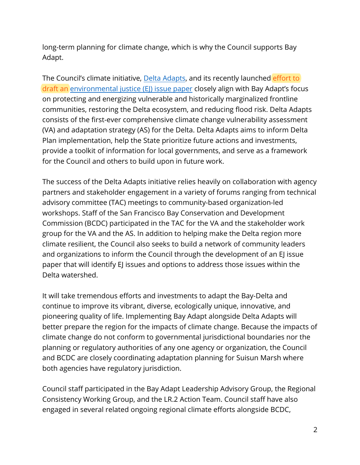long-term planning for climate change, which is why the Council supports Bay Adapt.

The Council's climate initiative, Delta Adapts, and its recently launched effort to draft an environmental justice (EJ) issue paper closely align with Bay Adapt's focus on protecting and energizing vulnerable and historically marginalized frontline communities, restoring the Delta ecosystem, and reducing flood risk. Delta Adapts consists of the first-ever comprehensive climate change vulnerability assessment (VA) and adaptation strategy (AS) for the Delta. Delta Adapts aims to inform Delta Plan implementation, help the State prioritize future actions and investments, provide a toolkit of information for local governments, and serve as a framework for the Council and others to build upon in future work.

 climate resilient, the Council also seeks to build a network of community leaders The success of the Delta Adapts initiative relies heavily on collaboration with agency partners and stakeholder engagement in a variety of forums ranging from technical advisory committee (TAC) meetings to community-based organization-led workshops. Staff of the San Francisco Bay Conservation and Development Commission (BCDC) participated in the TAC for the VA and the stakeholder work group for the VA and the AS. In addition to helping make the Delta region more and organizations to inform the Council through the development of an E issue paper that will identify EJ issues and options to address those issues within the Delta watershed.

It will take tremendous efforts and investments to adapt the Bay-Delta and continue to improve its vibrant, diverse, ecologically unique, innovative, and pioneering quality of life. Implementing Bay Adapt alongside Delta Adapts will better prepare the region for the impacts of climate change. Because the impacts of climate change do not conform to governmental jurisdictional boundaries nor the planning or regulatory authorities of any one agency or organization, the Council and BCDC are closely coordinating adaptation planning for Suisun Marsh where both agencies have regulatory jurisdiction.

Council staff participated in the Bay Adapt Leadership Advisory Group, the Regional Consistency Working Group, and the LR.2 Action Team. Council staff have also engaged in several related ongoing regional climate efforts alongside BCDC,